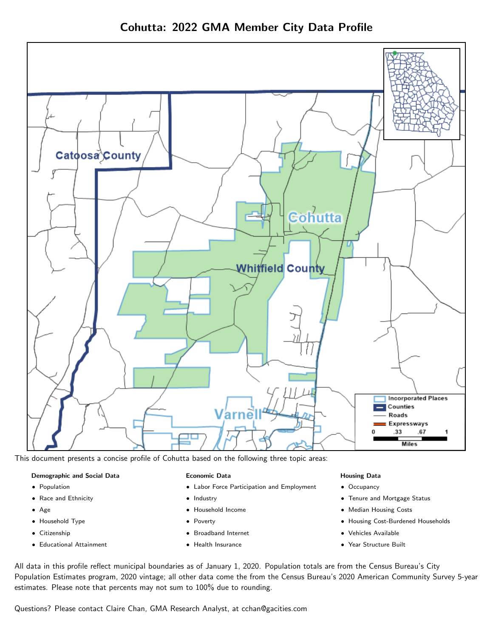

This document presents a concise profile of Cohutta based on the following three topic areas:

#### Demographic and Social Data

- **•** Population
- Race and Ethnicity
- Age
- Household Type
- **Citizenship**
- Educational Attainment

### Economic Data

- Labor Force Participation and Employment
- Industry
- Household Income
- Poverty
- Broadband Internet
- Health Insurance

### Housing Data

- Occupancy
- Tenure and Mortgage Status
- Median Housing Costs
- Housing Cost-Burdened Households
- Vehicles Available
- Year Structure Built

All data in this profile reflect municipal boundaries as of January 1, 2020. Population totals are from the Census Bureau's City Population Estimates program, 2020 vintage; all other data come the from the Census Bureau's 2020 American Community Survey 5-year estimates. Please note that percents may not sum to 100% due to rounding.

Questions? Please contact Claire Chan, GMA Research Analyst, at [cchan@gacities.com.](mailto:cchan@gacities.com)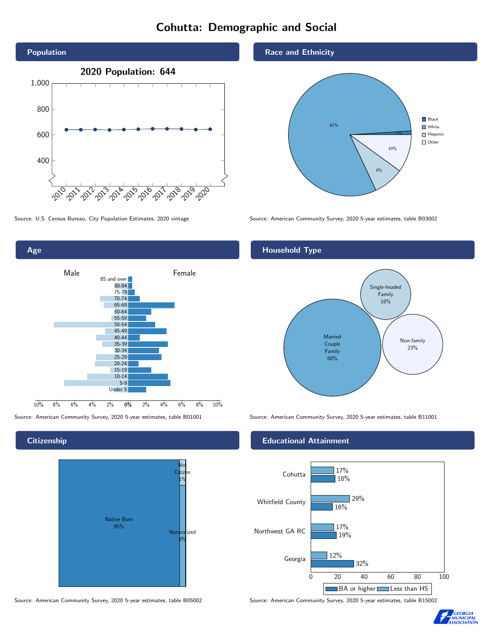# Cohutta: Demographic and Social



0% 2% 4% 6% 8% 10% Male **Female** 10% 8% 6% 4% 2% 85 and over 80-84 75-79 70-74 65-69 60-64 55-59 50-54 45-49 40-44 35-39 30-34 25-29 20-24 15-19  $10-14$ 5-9 Under 5

### **Citizenship**

Age



Source: American Community Survey, 2020 5-year estimates, table B05002 Source: American Community Survey, 2020 5-year estimates, table B15002

### Race and Ethnicity



Source: U.S. Census Bureau, City Population Estimates, 2020 vintage Source: American Community Survey, 2020 5-year estimates, table B03002

# Household Type



Source: American Community Survey, 2020 5-year estimates, table B01001 Source: American Community Survey, 2020 5-year estimates, table B11001

### Educational Attainment



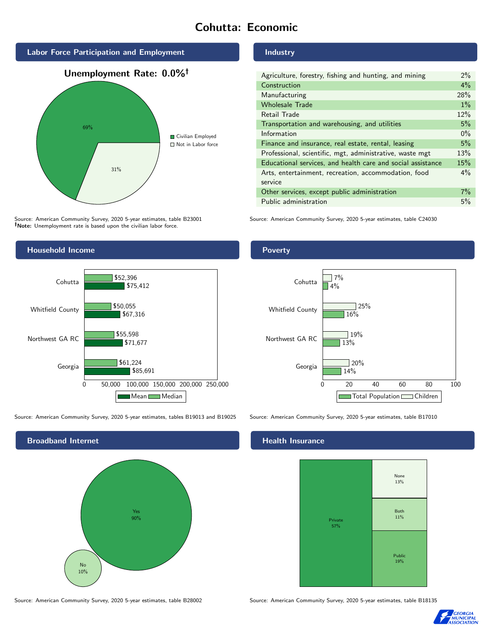# Cohutta: Economic



Source: American Community Survey, 2020 5-year estimates, table B23001 Note: Unemployment rate is based upon the civilian labor force.



Source: American Community Survey, 2020 5-year estimates, tables B19013 and B19025 Source: American Community Survey, 2020 5-year estimates, table B17010



Source: American Community Survey, 2020 5-year estimates, table B28002 Source: American Community Survey, 2020 5-year estimates, table B18135

#### Industry

| Agriculture, forestry, fishing and hunting, and mining      | $2\%$ |
|-------------------------------------------------------------|-------|
| Construction                                                | 4%    |
| Manufacturing                                               | 28%   |
| <b>Wholesale Trade</b>                                      | 1%    |
| Retail Trade                                                | 12%   |
| Transportation and warehousing, and utilities               | 5%    |
| Information                                                 | $0\%$ |
| Finance and insurance, real estate, rental, leasing         | 5%    |
| Professional, scientific, mgt, administrative, waste mgt    | 13%   |
| Educational services, and health care and social assistance | 15%   |
| Arts, entertainment, recreation, accommodation, food        | $4\%$ |
| service                                                     |       |
| Other services, except public administration                | $7\%$ |
| Public administration                                       | 5%    |

Source: American Community Survey, 2020 5-year estimates, table C24030

## Poverty



# **Health Insurance**